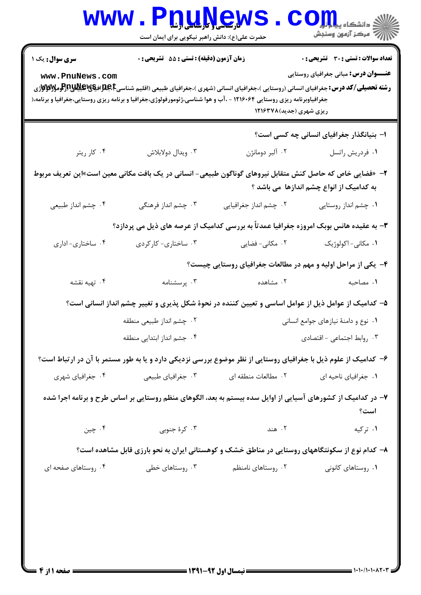|                                                                                                                                                                                                                                                                                                                                                                                                                                                                                                                                                                                    | www.P <u>nune</u> ws<br>حضرت علی(ع): دانش راهبر نیکویی برای ایمان است                                           |                                                               | الله دانشگاه پیام در استفاده باشد.<br>الله عرض: آزمون وسنجش |  |  |  |
|------------------------------------------------------------------------------------------------------------------------------------------------------------------------------------------------------------------------------------------------------------------------------------------------------------------------------------------------------------------------------------------------------------------------------------------------------------------------------------------------------------------------------------------------------------------------------------|-----------------------------------------------------------------------------------------------------------------|---------------------------------------------------------------|-------------------------------------------------------------|--|--|--|
| <b>تعداد سوالات : تستی : 30 - تشریحی : 0</b><br>زمان آزمون (دقیقه) : تستی : 55 آتشریحی : 0<br><b>سری سوال :</b> یک ۱<br><b>عنـــوان درس:</b> مبانی جغرافیای روستایی<br>www.PnuNews.com<br><b>رشته تحصیلی/کد درس:</b> جغرافیای انسانی (روستایی )،جغرافیای انسانی (شهری )،جغرافیای طبیعی (اقلیم شناسیجهایالهای استان<br>میره این استان استان استانی از استانی (روستایی)،جغرافیای انسانی (شهری )،جغرافیای طبیعی (اقلیم شناسیجهایاله<br>جغرافیاوبرنامه ریزی روستایی ۱۲۱۶۰۶۴ - ،آب و هوا شناسی،ژئومورفولوژی،جغرافیا و برنامه ریزی روستایی،جغرافیا و برنامه،(<br>ریزی شهری (جدید)۱۲۱۶۳۷۸ |                                                                                                                 |                                                               |                                                             |  |  |  |
| ۰۴ کار ریتر                                                                                                                                                                                                                                                                                                                                                                                                                                                                                                                                                                        | ۰۳ ویدال دولابلاش                                                                                               | ۰۲ آلبر دومانژن                                               | ۱– بنیانگذار جغرافیای انسانی چه کسی است؟<br>٠١ فردريش راتسل |  |  |  |
| ۲–  «فضایی خاص که حاصل کنش متقابل نیروهای گوناگون طبیعی- انسانی در یک بافت مکانی معین است»این تعریف مربوط<br>به کدامیک از انواع چشم اندازها می باشد ؟                                                                                                                                                                                                                                                                                                                                                                                                                              |                                                                                                                 |                                                               |                                                             |  |  |  |
| ۰۴ چشم انداز طبیعی                                                                                                                                                                                                                                                                                                                                                                                                                                                                                                                                                                 | ۰۳ چشم انداز فرهنگی                                                                                             | ۰۲ چشم انداز جغرافیایی                                        | ۰۱ چشم انداز روستایی                                        |  |  |  |
|                                                                                                                                                                                                                                                                                                                                                                                                                                                                                                                                                                                    | ۳- به عقیده هانس بوبک امروزه جغرافیا عمدتاً به بررسی کدامیک از عرصه های ذیل می پردازد؟                          |                                                               |                                                             |  |  |  |
| ۰۴ ساختاري- اداري                                                                                                                                                                                                                                                                                                                                                                                                                                                                                                                                                                  | ۰۳ ساختاری- کارکردی                                                                                             | ۰۲ مکانی- فضایی                                               | ۰۱ مکانی- اکولوژیک                                          |  |  |  |
|                                                                                                                                                                                                                                                                                                                                                                                                                                                                                                                                                                                    |                                                                                                                 | ۴- یکی از مراحل اولیه و مهم در مطالعات جغرافیای روستایی چیست؟ |                                                             |  |  |  |
| ۰۴ تهیه نقشه                                                                                                                                                                                                                                                                                                                                                                                                                                                                                                                                                                       | ۰۳ پرسشنامه                                                                                                     | ۰۲ مشاهده                                                     | ۰۱ مصاحبه                                                   |  |  |  |
|                                                                                                                                                                                                                                                                                                                                                                                                                                                                                                                                                                                    | ۵– کدامیک از عوامل ذیل از عوامل اساسی و تعیین کننده در نحوهٔ شکل پذیری و تغییر چشم انداز انسانی است؟            |                                                               |                                                             |  |  |  |
|                                                                                                                                                                                                                                                                                                                                                                                                                                                                                                                                                                                    | ۰۲ چشم انداز طبیعی منطقه                                                                                        |                                                               | ٠١ نوع و دامنهٔ نيازهاى جوامع انسانى                        |  |  |  |
|                                                                                                                                                                                                                                                                                                                                                                                                                                                                                                                                                                                    | ۰۴ جشم انداز ابتدایی منطقه                                                                                      |                                                               | ۰۳ روابط اجتماعی - اقتصادی                                  |  |  |  |
|                                                                                                                                                                                                                                                                                                                                                                                                                                                                                                                                                                                    | ۶– کدامیک از علوم ذیل با جغرافیای روستایی از نظر موضوع بررسی نزدیکی دارد و یا به طور مستمر با آن در ارتباط است؟ |                                                               |                                                             |  |  |  |
| ۰۴ جغرافیای شهری                                                                                                                                                                                                                                                                                                                                                                                                                                                                                                                                                                   | ۰۳ جغرافياي طبيعي                                                                                               | ٠٢ مطالعات منطقه اي                                           | ٠١ جغرافياي ناحيه اي                                        |  |  |  |
|                                                                                                                                                                                                                                                                                                                                                                                                                                                                                                                                                                                    | ۷– در کدامیک از کشورهای آسیایی از اوایل سده بیستم به بعد، الگوهای منظم روستایی بر اساس طرح و برنامه اجرا شده    |                                                               | است؟                                                        |  |  |  |
| ۰۴ چين                                                                                                                                                                                                                                                                                                                                                                                                                                                                                                                                                                             | ۰۳ کرهٔ جنوبی                                                                                                   | ۰۲ هند                                                        | ۰۱ ترکیه                                                    |  |  |  |
| ۸– کدام نوع از سکونتگاههای روستایی در مناطق خشک و کوهستانی ایران به نحو بارزی قابل مشاهده است؟                                                                                                                                                                                                                                                                                                                                                                                                                                                                                     |                                                                                                                 |                                                               |                                                             |  |  |  |
| ۰۴ روستاهای صفحه ای                                                                                                                                                                                                                                                                                                                                                                                                                                                                                                                                                                | ۰۳ روستاهای خطی                                                                                                 | ۰۲ روستاهای نامنظم                                            | ۰۱ روستاهای کانونی                                          |  |  |  |
|                                                                                                                                                                                                                                                                                                                                                                                                                                                                                                                                                                                    |                                                                                                                 |                                                               |                                                             |  |  |  |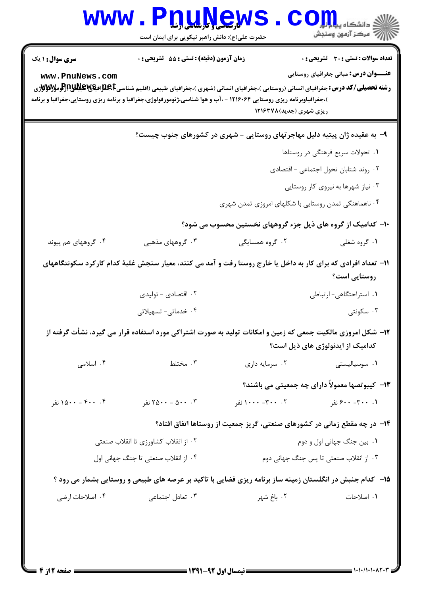| WWW                                                                                                                                                                                                                                                                                                               | حضرت علی(ع): دانش راهبر نیکویی برای ایمان است    | <u>ŊUŊe</u> WS                                                                                                      | دانشکاه پیا پایا<br>رآب مرڪز آزمون وسنڊش                                                    |  |  |
|-------------------------------------------------------------------------------------------------------------------------------------------------------------------------------------------------------------------------------------------------------------------------------------------------------------------|--------------------------------------------------|---------------------------------------------------------------------------------------------------------------------|---------------------------------------------------------------------------------------------|--|--|
| <b>سری سوال : ۱ یک</b><br>www.PnuNews.com<br><b>رشته تحصیلی/کد درس:</b> جغرافیای انسانی (روستایی )،جغرافیای انسانی (شهری )،جغرافیای طبیعی (اقلیم شناسی <b>E،BپBپRپلاپاترتومولالاولان</b> د<br>)،جغرافیاوبرنامه ریزی روستایی ۱۲۱۶۰۶۴ - ،آب و هوا شناسی،ژئومورفولوژی،جغرافیا و برنامه ریزی روستایی،جغرافیا و برنامه | <b>زمان آزمون (دقیقه) : تستی : 55 تشریحی : 0</b> | ریزی شهری (جدید)۱۲۱۶۳۷۸                                                                                             | <b>تعداد سوالات : تستی : 30 ٪ تشریحی : 0</b><br><b>عنـــوان درس:</b> مبانی جغرافیای روستایی |  |  |
| ۹- به عقیده ژان پیتیه دلیل مهاجرتهای روستایی - شهری در کشورهای جنوب چیست؟                                                                                                                                                                                                                                         |                                                  |                                                                                                                     |                                                                                             |  |  |
|                                                                                                                                                                                                                                                                                                                   |                                                  |                                                                                                                     | ۰۱ تحولات سریع فرهنگی در روستاها                                                            |  |  |
|                                                                                                                                                                                                                                                                                                                   |                                                  |                                                                                                                     | ۰۲ روند شتابان تحول اجتماعی - اقتصادی                                                       |  |  |
|                                                                                                                                                                                                                                                                                                                   | ۰۳ نیاز شهرها به نیروی کار روستایی               |                                                                                                                     |                                                                                             |  |  |
| ۰۴ ناهماهنگی تمدن روستایی با شکلهای امروزی تمدن شهری                                                                                                                                                                                                                                                              |                                                  |                                                                                                                     |                                                                                             |  |  |
| ۱۰– کدامیک از گروه های ذیل جزء گروههای نخستین محسوب می شود؟                                                                                                                                                                                                                                                       |                                                  |                                                                                                                     |                                                                                             |  |  |
| ۰۴ گروههای هم پیوند                                                                                                                                                                                                                                                                                               | ۰۳ گروههای مذهبی                                 | ۰۲ گروه همسایگی                                                                                                     | ۰۱ گروه شغلی                                                                                |  |  |
| ۱۱– تعداد افرادی که برای کار به داخل یا خارج روستا رفت و آمد می کنند، معیار سنجش غلبهٔ کدام کارکرد سکونتگاههای<br>روستایی است؟                                                                                                                                                                                    |                                                  |                                                                                                                     |                                                                                             |  |  |
|                                                                                                                                                                                                                                                                                                                   | ۰۲ اقتصادی - تولیدی<br>۰۴ خدماتی- تسهیلاتی       |                                                                                                                     | ٠١ استراحتگاهي- ارتباطي<br>۰۳ سکونتی                                                        |  |  |
|                                                                                                                                                                                                                                                                                                                   |                                                  | <b>۱۲</b> - شکل امروزی مالکیت جمعی که زمین و امکانات تولید به صورت اشتراکی مورد استفاده قرار می گیرد، نشأت گرفته از | کدامیک از ایدئولوژی های ذیل است؟                                                            |  |  |
| ۰۴ اسلامی                                                                                                                                                                                                                                                                                                         | ۰۳ مختلط                                         | ۰۲ سرمایه داری                                                                                                      | ۰۱ سوسیالیستی                                                                               |  |  |
|                                                                                                                                                                                                                                                                                                                   |                                                  |                                                                                                                     | ۱۳-  کیبوتصها معمولاً دارای چه جمعیتی می باشند؟                                             |  |  |
| ۰۴ - ۱۵۰۰ نفر                                                                                                                                                                                                                                                                                                     | ۲۵۰۰ - ۲۵۰۰ نفر $\mathcal{S}$                    | ۰۲ - ۱۰۰۰– ۱۰۰۰ نفر                                                                                                 | ۰. ۳۰۰– ۶۰۰ نفر                                                                             |  |  |
|                                                                                                                                                                                                                                                                                                                   |                                                  | ۱۴- در چه مقطع زمانی در کشورهای صنعتی، گریز جمعیت از روستاها اتفاق افتاد؟                                           |                                                                                             |  |  |
| ۰۲ از انقلاب کشاورزی تا انقلاب صنعتی                                                                                                                                                                                                                                                                              |                                                  | ٠١. بين جنگ جهاني اول و دوم                                                                                         |                                                                                             |  |  |
| ۰۴ از انقلاب صنعتی تا جنگ جهانی اول                                                                                                                                                                                                                                                                               |                                                  |                                                                                                                     | ۰۳ از انقلاب صنعتی تا پس جنگ جهانی دوم                                                      |  |  |
| ۱۵– کدام جنبش در انگلستان زمینه ساز برنامه ریزی فضایی با تاکید بر عرصه های طبیعی و روستایی بشمار می رود ؟                                                                                                                                                                                                         |                                                  |                                                                                                                     |                                                                                             |  |  |
| ۰۴ اصلاحات ارضی                                                                                                                                                                                                                                                                                                   | ۰۳ تعادل اجتماعی                                 | ٢. باغ شهر                                                                                                          | ٠١. اصلاحات                                                                                 |  |  |
|                                                                                                                                                                                                                                                                                                                   |                                                  |                                                                                                                     |                                                                                             |  |  |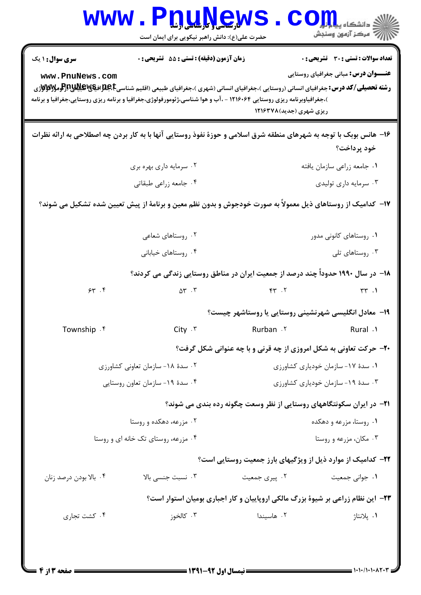| <b>WWW</b>                                                                                                          | <b>Water of the Land Hands</b><br>حضرت علی(ع): دانش راهبر نیکویی برای ایمان است                                                                                   |                                                      | ≦ دانشکاه پ <b>یاح<mark></mark> تو<mark>ر</mark></b><br>رِ آزمون وسنجش                      |  |  |
|---------------------------------------------------------------------------------------------------------------------|-------------------------------------------------------------------------------------------------------------------------------------------------------------------|------------------------------------------------------|---------------------------------------------------------------------------------------------|--|--|
| <b>سری سوال : ۱ یک</b><br>www.PnuNews.com                                                                           | زمان آزمون (دقیقه) : تستی : 55 آتشریحی : 0<br>)،جغرافیاوبرنامه ریزی روستایی ۱۲۱۶۰۶۴ - ،آب و هوا شناسی،ژئومورفولوژی،جغرافیا و برنامه ریزی روستایی،جغرافیا و برنامه | ریزی شهری (جدید)۱۲۱۶۳۷۸                              | <b>تعداد سوالات : تستی : 30 ٪ تشریحی : 0</b><br><b>عنـــوان درس:</b> مبانی جغرافیای روستایی |  |  |
| ۱۶- هانس بوبک با توجه به شهرهای منطقه شرق اسلامی و حوزهٔ نفوذ روستایی آنها با به کار بردن چه اصطلاحی به ارائه نظرات |                                                                                                                                                                   |                                                      |                                                                                             |  |  |
|                                                                                                                     |                                                                                                                                                                   |                                                      | خود پرداخت؟                                                                                 |  |  |
| ۰۲ سرمایه داری بهره بری<br>۰۴ جامعه زراعي طبقاتي                                                                    |                                                                                                                                                                   | ۰۱ جامعه زراعي سازمان يافته<br>۰۳ سرمایه داری تولیدی |                                                                                             |  |  |
| ۱۷– کدامیک از روستاهای ذیل معمولاً به صورت خودجوش و بدون نظم معین و برنامهٔ از پیش تعیین شده تشکیل می شوند؟         |                                                                                                                                                                   |                                                      |                                                                                             |  |  |
|                                                                                                                     | ۰۲ روستاهای شعاعی                                                                                                                                                 |                                                      | ۰۱ روستاهای کانونی مدور                                                                     |  |  |
|                                                                                                                     | ۰۴ روستاهای خیابانی                                                                                                                                               |                                                      | ۰۳ روستاهای تلی                                                                             |  |  |
|                                                                                                                     | ۱۸– در سال ۱۹۹۰ حدوداً چند درصد از جمعیت ایران در مناطق روستایی زندگی می کردند؟                                                                                   |                                                      |                                                                                             |  |  |
| 54.7                                                                                                                | $\Delta \Upsilon$ . $\Upsilon$                                                                                                                                    | $FP$ . $T$                                           | $\uparrow\uparrow$ . 1                                                                      |  |  |
|                                                                                                                     |                                                                                                                                                                   |                                                      | ۱۹- معادل انگلیسی شهرنشینی روستایی یا روستاشهر چیست؟                                        |  |  |
| Township . f                                                                                                        | $City \cdot$ ۳                                                                                                                                                    | Rurban . ٢                                           | Rural .1                                                                                    |  |  |
|                                                                                                                     |                                                                                                                                                                   |                                                      | <b>۲۰- حرکت تعاونی به شکل امروزی از چه قرنی و با چه عنوانی شکل گرفت؟</b>                    |  |  |
|                                                                                                                     | ۰۲ سدهٔ ۱۸- سازمان تعاونی کشاورزی                                                                                                                                 | ٠١ سدة ١٧- سازمان خودياري كشاورزي                    |                                                                                             |  |  |
| ۰۴ سدهٔ ۱۹- سازمان تعاون روستایی                                                                                    |                                                                                                                                                                   | ۰۳ سدهٔ ۱۹- سازمان خودیاری کشاورزی                   |                                                                                             |  |  |
|                                                                                                                     |                                                                                                                                                                   |                                                      | <b>۲۱</b> - در ایران سکونتگاههای روستایی از نظر وسعت چگونه رده بندی می شوند؟                |  |  |
|                                                                                                                     | ۰۲ مزرعه، دهکده و روستا                                                                                                                                           | ۰۱ روستا، مزرعه و دهکده                              |                                                                                             |  |  |
| ۰۴ مزرعه، روستای تک خانه ای و روستا                                                                                 |                                                                                                                                                                   | ۰۳ مکان، مزرعه و روستا                               |                                                                                             |  |  |
|                                                                                                                     |                                                                                                                                                                   |                                                      | ۲۲- کدامیک از موارد ذیل از ویژگیهای بارز جمعیت روستایی است؟                                 |  |  |
| ۰۴ بالا بودن درصد زنان                                                                                              | ۰۳ نسبت جنسی بالا                                                                                                                                                 | ۰۲ پیری جمعیت                                        | ۰۱ جواني جمعيت                                                                              |  |  |
|                                                                                                                     | ۲۳- این نظام زراعی بر شیوهٔ بزرگ مالکی اروپاییان و کار اجباری بومیان استوار است؟                                                                                  |                                                      |                                                                                             |  |  |
| ۰۴ کشت تجاری                                                                                                        | ۰۳ کالخوز                                                                                                                                                         | ۰۲ هاسیندا                                           | ۰۱ پلانتاژ                                                                                  |  |  |
|                                                                                                                     |                                                                                                                                                                   |                                                      |                                                                                             |  |  |